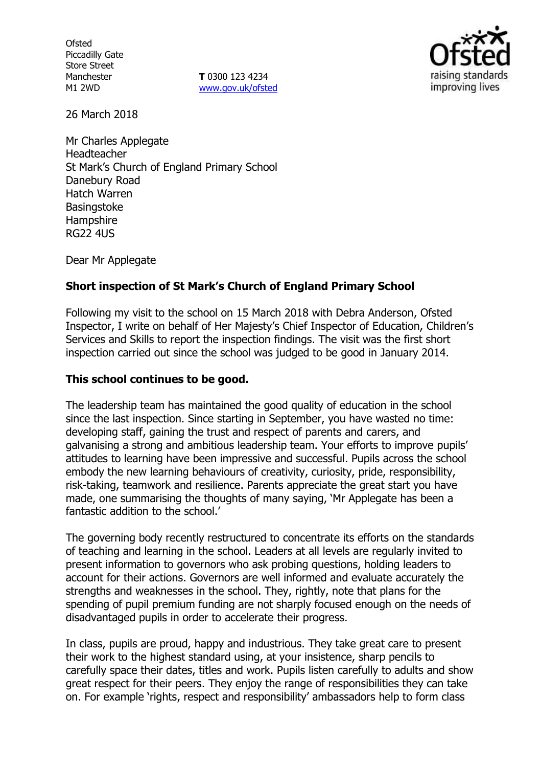**Ofsted** Piccadilly Gate Store Street Manchester M1 2WD

**T** 0300 123 4234 www.gov.uk/ofsted



26 March 2018

Mr Charles Applegate Headteacher St Mark's Church of England Primary School Danebury Road Hatch Warren **Basingstoke Hampshire** RG22 4US

Dear Mr Applegate

## **Short inspection of St Mark's Church of England Primary School**

Following my visit to the school on 15 March 2018 with Debra Anderson, Ofsted Inspector, I write on behalf of Her Majesty's Chief Inspector of Education, Children's Services and Skills to report the inspection findings. The visit was the first short inspection carried out since the school was judged to be good in January 2014.

#### **This school continues to be good.**

The leadership team has maintained the good quality of education in the school since the last inspection. Since starting in September, you have wasted no time: developing staff, gaining the trust and respect of parents and carers, and galvanising a strong and ambitious leadership team. Your efforts to improve pupils' attitudes to learning have been impressive and successful. Pupils across the school embody the new learning behaviours of creativity, curiosity, pride, responsibility, risk-taking, teamwork and resilience. Parents appreciate the great start you have made, one summarising the thoughts of many saying, 'Mr Applegate has been a fantastic addition to the school.'

The governing body recently restructured to concentrate its efforts on the standards of teaching and learning in the school. Leaders at all levels are regularly invited to present information to governors who ask probing questions, holding leaders to account for their actions. Governors are well informed and evaluate accurately the strengths and weaknesses in the school. They, rightly, note that plans for the spending of pupil premium funding are not sharply focused enough on the needs of disadvantaged pupils in order to accelerate their progress.

In class, pupils are proud, happy and industrious. They take great care to present their work to the highest standard using, at your insistence, sharp pencils to carefully space their dates, titles and work. Pupils listen carefully to adults and show great respect for their peers. They enjoy the range of responsibilities they can take on. For example 'rights, respect and responsibility' ambassadors help to form class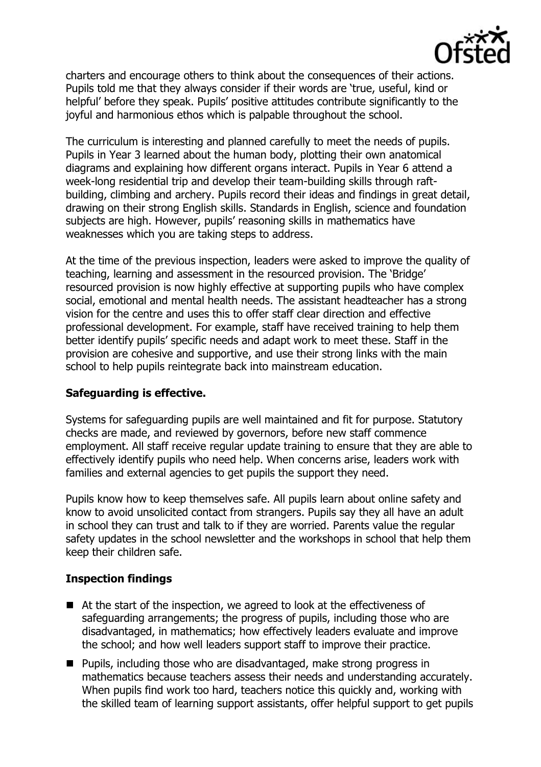

charters and encourage others to think about the consequences of their actions. Pupils told me that they always consider if their words are 'true, useful, kind or helpful' before they speak. Pupils' positive attitudes contribute significantly to the joyful and harmonious ethos which is palpable throughout the school.

The curriculum is interesting and planned carefully to meet the needs of pupils. Pupils in Year 3 learned about the human body, plotting their own anatomical diagrams and explaining how different organs interact. Pupils in Year 6 attend a week-long residential trip and develop their team-building skills through raftbuilding, climbing and archery. Pupils record their ideas and findings in great detail, drawing on their strong English skills. Standards in English, science and foundation subjects are high. However, pupils' reasoning skills in mathematics have weaknesses which you are taking steps to address.

At the time of the previous inspection, leaders were asked to improve the quality of teaching, learning and assessment in the resourced provision. The 'Bridge' resourced provision is now highly effective at supporting pupils who have complex social, emotional and mental health needs. The assistant headteacher has a strong vision for the centre and uses this to offer staff clear direction and effective professional development. For example, staff have received training to help them better identify pupils' specific needs and adapt work to meet these. Staff in the provision are cohesive and supportive, and use their strong links with the main school to help pupils reintegrate back into mainstream education.

# **Safeguarding is effective.**

Systems for safeguarding pupils are well maintained and fit for purpose. Statutory checks are made, and reviewed by governors, before new staff commence employment. All staff receive regular update training to ensure that they are able to effectively identify pupils who need help. When concerns arise, leaders work with families and external agencies to get pupils the support they need.

Pupils know how to keep themselves safe. All pupils learn about online safety and know to avoid unsolicited contact from strangers. Pupils say they all have an adult in school they can trust and talk to if they are worried. Parents value the regular safety updates in the school newsletter and the workshops in school that help them keep their children safe.

# **Inspection findings**

- At the start of the inspection, we agreed to look at the effectiveness of safeguarding arrangements; the progress of pupils, including those who are disadvantaged, in mathematics; how effectively leaders evaluate and improve the school; and how well leaders support staff to improve their practice.
- Pupils, including those who are disadvantaged, make strong progress in mathematics because teachers assess their needs and understanding accurately. When pupils find work too hard, teachers notice this quickly and, working with the skilled team of learning support assistants, offer helpful support to get pupils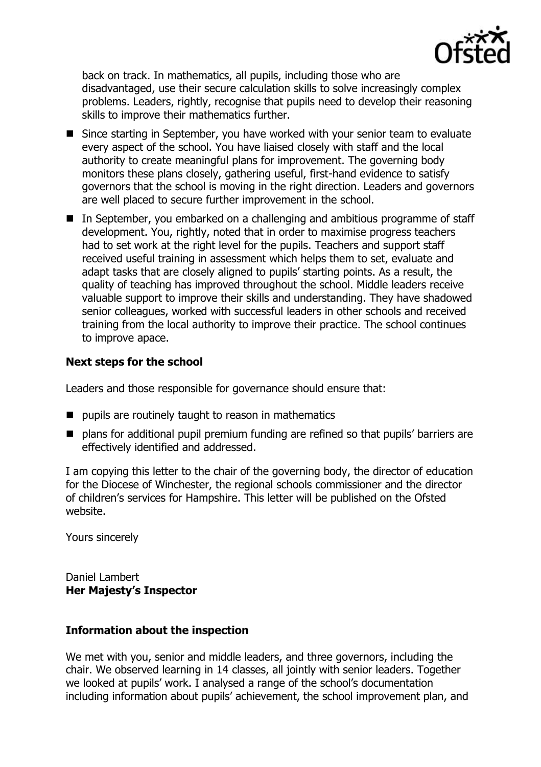

back on track. In mathematics, all pupils, including those who are disadvantaged, use their secure calculation skills to solve increasingly complex problems. Leaders, rightly, recognise that pupils need to develop their reasoning skills to improve their mathematics further.

- Since starting in September, you have worked with your senior team to evaluate every aspect of the school. You have liaised closely with staff and the local authority to create meaningful plans for improvement. The governing body monitors these plans closely, gathering useful, first-hand evidence to satisfy governors that the school is moving in the right direction. Leaders and governors are well placed to secure further improvement in the school.
- In September, you embarked on a challenging and ambitious programme of staff development. You, rightly, noted that in order to maximise progress teachers had to set work at the right level for the pupils. Teachers and support staff received useful training in assessment which helps them to set, evaluate and adapt tasks that are closely aligned to pupils' starting points. As a result, the quality of teaching has improved throughout the school. Middle leaders receive valuable support to improve their skills and understanding. They have shadowed senior colleagues, worked with successful leaders in other schools and received training from the local authority to improve their practice. The school continues to improve apace.

## **Next steps for the school**

Leaders and those responsible for governance should ensure that:

- **P** pupils are routinely taught to reason in mathematics
- plans for additional pupil premium funding are refined so that pupils' barriers are effectively identified and addressed.

I am copying this letter to the chair of the governing body, the director of education for the Diocese of Winchester, the regional schools commissioner and the director of children's services for Hampshire. This letter will be published on the Ofsted website.

Yours sincerely

Daniel Lambert **Her Majesty's Inspector**

#### **Information about the inspection**

We met with you, senior and middle leaders, and three governors, including the chair. We observed learning in 14 classes, all jointly with senior leaders. Together we looked at pupils' work. I analysed a range of the school's documentation including information about pupils' achievement, the school improvement plan, and